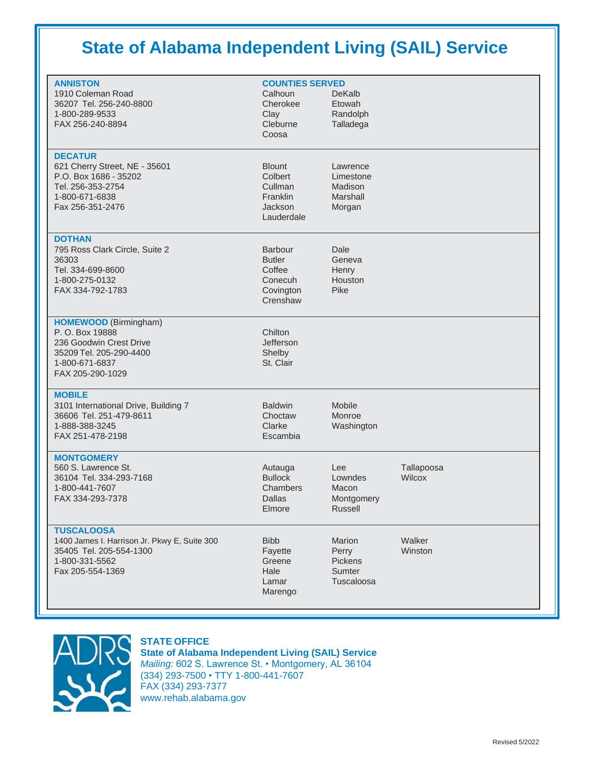# **State of Alabama Independent Living (SAIL) Service**

| <b>ANNISTON</b><br>1910 Coleman Road<br>36207 Tel. 256-240-8800<br>1-800-289-9533<br>FAX 256-240-8894                                       | <b>COUNTIES SERVED</b><br>Calhoun<br>Cherokee<br>Clay<br>Cleburne<br>Coosa    | <b>DeKalb</b><br>Etowah<br>Randolph<br>Talladega       |                      |
|---------------------------------------------------------------------------------------------------------------------------------------------|-------------------------------------------------------------------------------|--------------------------------------------------------|----------------------|
| <b>DECATUR</b><br>621 Cherry Street, NE - 35601<br>P.O. Box 1686 - 35202<br>Tel. 256-353-2754<br>1-800-671-6838<br>Fax 256-351-2476         | <b>Blount</b><br>Colbert<br>Cullman<br>Franklin<br>Jackson<br>Lauderdale      | Lawrence<br>Limestone<br>Madison<br>Marshall<br>Morgan |                      |
| <b>DOTHAN</b><br>795 Ross Clark Circle, Suite 2<br>36303<br>Tel. 334-699-8600<br>1-800-275-0132<br>FAX 334-792-1783                         | <b>Barbour</b><br><b>Butler</b><br>Coffee<br>Conecuh<br>Covington<br>Crenshaw | Dale<br>Geneva<br>Henry<br>Houston<br>Pike             |                      |
| <b>HOMEWOOD</b> (Birmingham)<br>P. O. Box 19888<br>236 Goodwin Crest Drive<br>35209 Tel. 205-290-4400<br>1-800-671-6837<br>FAX 205-290-1029 | Chilton<br><b>Jefferson</b><br>Shelby<br>St. Clair                            |                                                        |                      |
| <b>MOBILE</b><br>3101 International Drive, Building 7<br>36606 Tel. 251-479-8611<br>1-888-388-3245<br>FAX 251-478-2198                      | <b>Baldwin</b><br>Choctaw<br>Clarke<br>Escambia                               | Mobile<br>Monroe<br>Washington                         |                      |
| <b>MONTGOMERY</b><br>560 S. Lawrence St.<br>36104 Tel. 334-293-7168<br>1-800-441-7607<br>FAX 334-293-7378                                   | Autauga<br><b>Bullock</b><br>Chambers<br>Dallas<br>Elmore                     | Lee<br>Lowndes<br>Macon<br>Montgomery<br>Russell       | Tallapoosa<br>Wilcox |
| <b>TUSCALOOSA</b><br>1400 James I. Harrison Jr. Pkwy E, Suite 300<br>35405 Tel. 205-554-1300<br>1-800-331-5562<br>Fax 205-554-1369          | <b>Bibb</b><br>Fayette<br>Greene<br>Hale<br>Lamar<br>Marengo                  | Marion<br>Perry<br>Pickens<br>Sumter<br>Tuscaloosa     | Walker<br>Winston    |



### **STATE OFFICE**

**State of Alabama Independent Living (SAIL) Service** *Mailing:* 602 S. Lawrence St. • Montgomery, AL 36104 (334) 293-7500 • TTY 1-800-441-7607 FAX (334) 293-7377 [www.rehab.alabama.gov](http://www.rehab.alabama.gov/)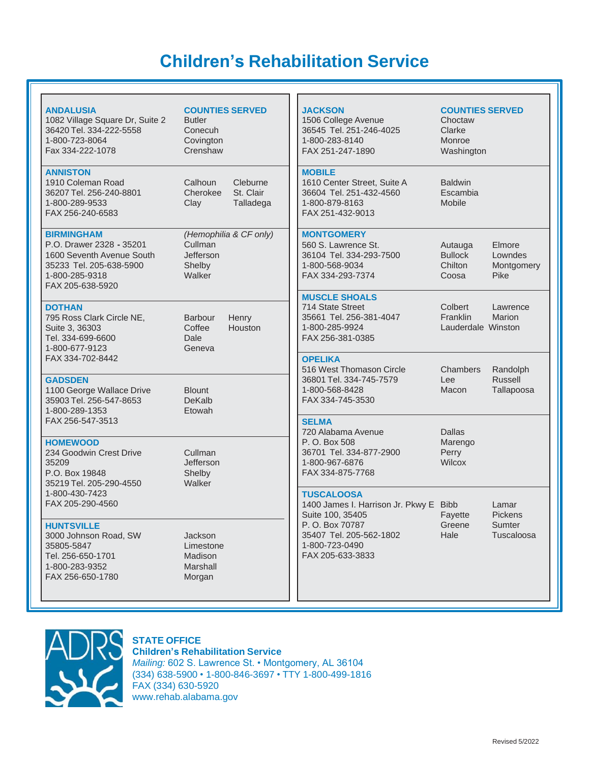# **Children's Rehabilitation Service**

| <b>ANDALUSIA</b><br>1082 Village Square Dr, Suite 2<br>36420 Tel. 334-222-5558<br>1-800-723-8064<br>Fax 334-222-1078                        | <b>COUNTIES SERVED</b><br><b>Butler</b><br>Conecuh<br>Covington<br>Crenshaw |                                    | <b>JACKSON</b><br>1506 College Avenue<br>36545 Tel. 251-246-4025<br>1-800-283-8140<br>FAX 251-247-1890                           | <b>COUNTIES SERVED</b><br>Choctaw<br>Clarke<br>Monroe<br>Washington |                                          |
|---------------------------------------------------------------------------------------------------------------------------------------------|-----------------------------------------------------------------------------|------------------------------------|----------------------------------------------------------------------------------------------------------------------------------|---------------------------------------------------------------------|------------------------------------------|
| <b>ANNISTON</b><br>1910 Coleman Road<br>36207 Tel. 256-240-8801<br>1-800-289-9533<br>FAX 256-240-6583                                       | Calhoun<br>Cherokee<br>Clay                                                 | Cleburne<br>St. Clair<br>Talladega | <b>MOBILE</b><br>1610 Center Street, Suite A<br>36604 Tel. 251-432-4560<br>1-800-879-8163<br>FAX 251-432-9013                    | <b>Baldwin</b><br>Escambia<br>Mobile                                |                                          |
| <b>BIRMINGHAM</b><br>P.O. Drawer 2328 - 35201<br>1600 Seventh Avenue South<br>35233 Tel. 205-638-5900<br>1-800-285-9318<br>FAX 205-638-5920 | Cullman<br>Jefferson<br>Shelby<br>Walker                                    | (Hemophilia & CF only)             | <b>MONTGOMERY</b><br>560 S. Lawrence St.<br>36104 Tel. 334-293-7500<br>1-800-568-9034<br>FAX 334-293-7374                        | Autauga<br><b>Bullock</b><br>Chilton<br>Coosa                       | Elmore<br>Lowndes<br>Montgomery<br>Pike  |
| <b>DOTHAN</b><br>795 Ross Clark Circle NE,<br>Suite 3, 36303<br>Tel. 334-699-6600<br>1-800-677-9123                                         | <b>Barbour</b><br>Coffee<br>Dale<br>Geneva                                  | Henry<br>Houston                   | <b>MUSCLE SHOALS</b><br>714 State Street<br>35661 Tel. 256-381-4047<br>1-800-285-9924<br>FAX 256-381-0385                        | Colbert<br>Franklin<br>Lauderdale Winston                           | Lawrence<br>Marion                       |
| FAX 334-702-8442<br><b>GADSDEN</b><br>1100 George Wallace Drive<br>35903 Tel. 256-547-8653<br>1-800-289-1353                                | <b>Blount</b><br><b>DeKalb</b><br>Etowah                                    |                                    | <b>OPELIKA</b><br>516 West Thomason Circle<br>36801 Tel. 334-745-7579<br>1-800-568-8428<br>FAX 334-745-3530                      | Chambers<br>Lee<br>Macon                                            | Randolph<br><b>Russell</b><br>Tallapoosa |
| FAX 256-547-3513                                                                                                                            |                                                                             | <b>SELMA</b><br>720 Alabama Avenue | <b>Dallas</b>                                                                                                                    |                                                                     |                                          |
| <b>HOMEWOOD</b><br>234 Goodwin Crest Drive<br>35209<br>P.O. Box 19848<br>35219 Tel. 205-290-4550                                            | Cullman<br>Jefferson<br>Shelby<br>Walker                                    |                                    | P. O. Box 508<br>36701 Tel. 334-877-2900<br>1-800-967-6876<br>FAX 334-875-7768                                                   | Marengo<br>Perry<br>Wilcox                                          |                                          |
| 1-800-430-7423<br>FAX 205-290-4560                                                                                                          |                                                                             |                                    | <b>TUSCALOOSA</b><br>1400 James I. Harrison Jr. Pkwy E Bibb                                                                      | Lamar                                                               |                                          |
| <b>HUNTSVILLE</b><br>3000 Johnson Road, SW<br>35805-5847<br>Tel. 256-650-1701<br>1-800-283-9352<br>FAX 256-650-1780                         | Jackson<br>Limestone<br>Madison<br>Marshall<br>Morgan                       |                                    | Suite 100, 35405<br>Fayette<br>P.O. Box 70787<br>Greene<br>35407 Tel. 205-562-1802<br>Hale<br>1-800-723-0490<br>FAX 205-633-3833 |                                                                     | <b>Pickens</b><br>Sumter<br>Tuscaloosa   |



## **STATE OFFICE**

**Children's Rehabilitation Service** *Mailing:* 602 S. Lawrence St. • Montgomery, AL 36104 (334) 638-5900 • 1-800-846-3697 • TTY 1-800-499-1816 FAX (334) 630-5920 [www.rehab.alabama.gov](http://www.rehab.alabama.gov/)

11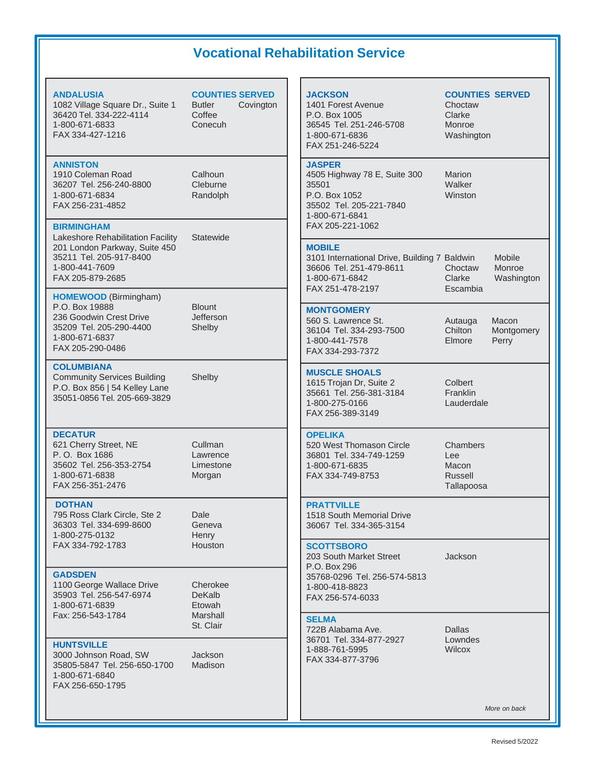## **Vocational Rehabilitation Service**

### **JACKSON COUNTIES SERVED** 1401 Forest Avenue **Choctaw** P.O. Box 1005 Clarke 36545 Tel. 251-246-5708 Monroe 1-800-671-6836 Washington FAX 251-246-5224 **JASPER** 4505 Highway 78 E, Suite 300 Marion 35501 Walker P.O. Box 1052 Winston 35502 Tel. 205-221-7840 1-800-671-6841 FAX 205-221-1062 **MOBILE** 3101 International Drive, Building 7 Baldwin Mobile 36606 Tel. 251-479-8611 Choctaw Monroe 1-800-671-6842 Clarke Washington FAX 251-478-2197 Escambia **MONTGOMERY** 560 S. Lawrence St. **Autauga** Macon 36104 Tel. 334-293-7500 Chilton Montgomery 1-800-441-7578 Elmore Perry FAX 334-293-7372 **MUSCLE SHOALS** 1615 Trojan Dr, Suite 2 Colbert<br>35661 Tel. 256-381-3184 Franklin 35661 Tel. 256-381-3184 1-800-275-0166 Lauderdale FAX 256-389-3149 **OPELIKA** 520 West Thomason Circle Chambers 36801 Tel. 334-749-1259 Lee 1-800-671-6835 Macon FAX 334-749-8753 Russell Tallapoosa **PRATTVILLE** 1518 South Memorial Drive 36067 Tel. 334-365-3154 **SCOTTSBORO** 203 South Market Street **Jackson** P.O. Box 296 35768-0296 Tel. 256-574-5813 1-800-418-8823 FAX 256-574-6033 **SELMA** 722B Alabama Ave. Dallas 36701 Tel. 334-877-2927 Lowndes 1-888-761-5995 Wilcox FAX 334-877-3796 *More on back* **ANDALUSIA COUNTIES SERVED** 1082 Village Square Dr., Suite 1 Butler Covington 36420 Tel. 334-222-4114 Coffee 1-800-671-6833 Conecuh FAX 334-427-1216 **ANNISTON** 1910 Coleman Road Calhoun 36207 Tel. 256-240-8800 Cleburne 1-800-671-6834 Randolph FAX 256-231-4852 **BIRMINGHAM** Lakeshore Rehabilitation Facility Statewide 201 London Parkway, Suite 450 35211 Tel. 205-917-8400 1-800-441-7609 FAX 205-879-2685 **HOMEWOOD** (Birmingham) P.O. Box 19888 Blount 236 Goodwin Crest Drive **Jefferson** 35209 Tel. 205-290-4400 Shelby 1-800-671-6837 FAX 205-290-0486 **COLUMBIANA** Community Services Building Shelby P.O. Box 856 | 54 Kelley Lane 35051-0856 Tel. 205-669-3829 **DECATUR** 621 Cherry Street, NE Cullman P.O. Box 1686 Lawrence 35602 Tel. 256-353-2754 Limestone 1-800-671-6838 Morgan FAX 256-351-2476 **DOTHAN** 795 Ross Clark Circle, Ste 2 Dale 36303 Tel. 334-699-8600 Geneva 1-800-275-0132 Henry FAX 334-792-1783 Houston **GADSDEN** 1100 George Wallace Drive Cherokee<br>35903 Tel. 256-547-6974 DeKalb 35903 Tel. 256-547-6974 1-800-671-6839 Etowah Fax: 256-543-1784 Marshall St. Clair **HUNTSVILLE** 3000 Johnson Road, SW Jackson 35805-5847 Tel. 256-650-1700 Madison 1-800-671-6840 FAX 256-650-1795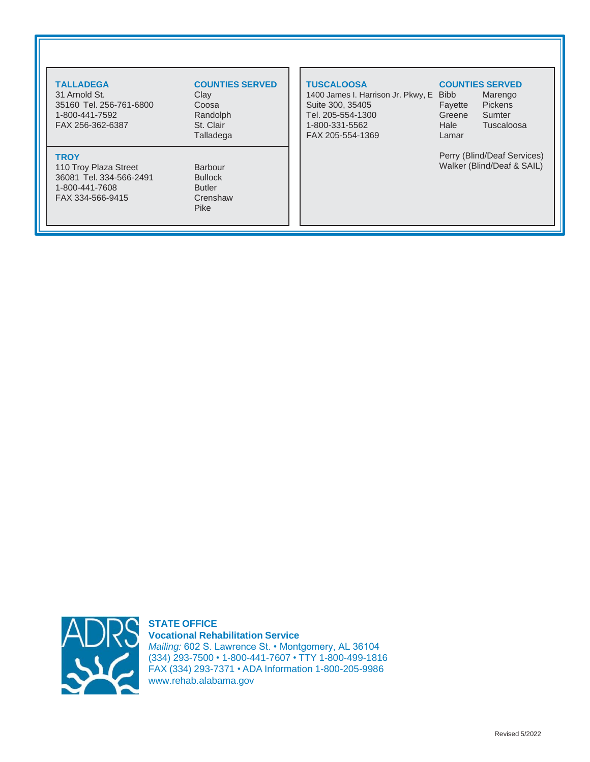31 Arnold St. 35160 Tel. 256-761-6800 Coosa 1-800-441-7592 Randolph FAX 256-362-6387 St. Clair

### **TROY**

110 Troy Plaza Street Barbour 36081 Tel. 334-566-2491 Bullock 1-800-441-7608 Butler FAX 334-566-9415 Crenshaw

# **TALLADEGA COUNTIES SERVED**

Talladega

Pike

1400 James I. Harrison Jr. Pkwy, E Bibb Marengo Suite 300, 35405 Fayette Pickens Tel. 205-554-1300 Greene Sumter 1-800-331-5562 Hale Tuscaloosa FAX 205-554-1369 Lamar

### **TUSCALOOSA COUNTIES SERVED**

Perry (Blind/Deaf Services) Walker (Blind/Deaf & SAIL)



**STATE OFFICE Vocational Rehabilitation Service** *Mailing:* 602 S. Lawrence St. • Montgomery, AL 36104 (334) 293-7500 • 1-800-441-7607 • TTY 1-800-499-1816 FAX (334) 293-7371 • ADA Information 1-800-205-9986 [www.rehab.alabama.gov](http://www.rehab.alabama.gov/)